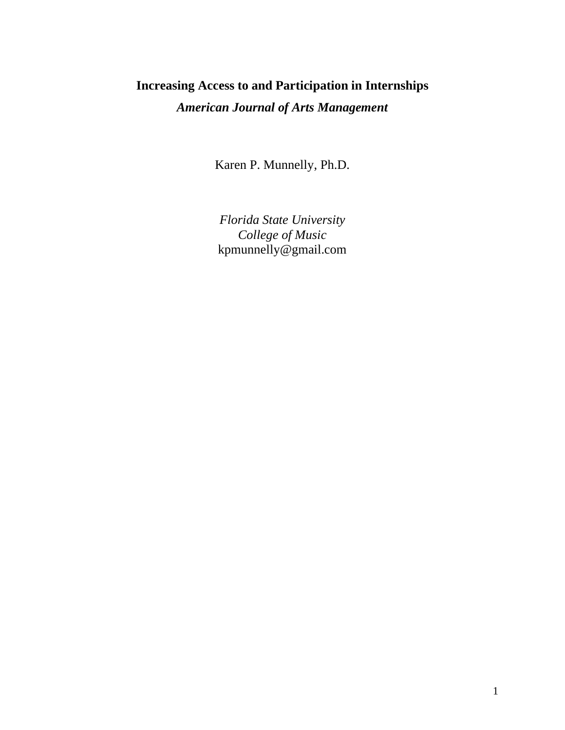# **Increasing Access to and Participation in Internships** *American Journal of Arts Management*

Karen P. Munnelly, Ph.D.

*Florida State University College of Music* kpmunnelly@gmail.com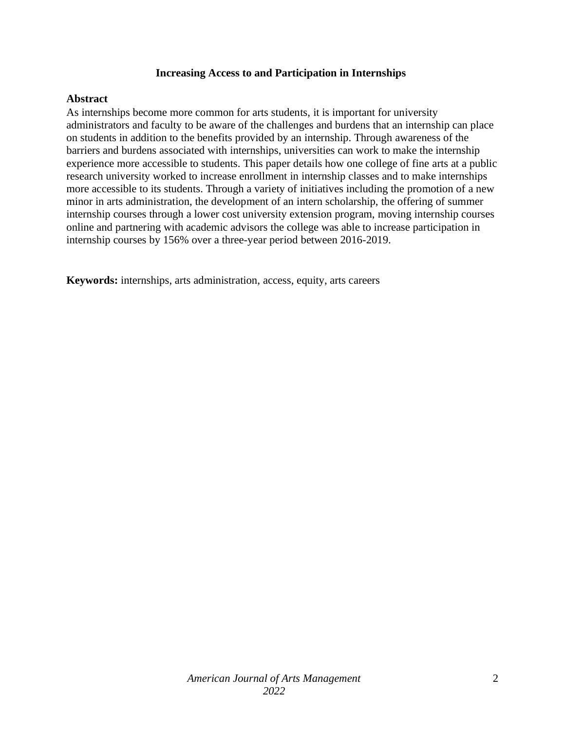## **Increasing Access to and Participation in Internships**

#### **Abstract**

As internships become more common for arts students, it is important for university administrators and faculty to be aware of the challenges and burdens that an internship can place on students in addition to the benefits provided by an internship. Through awareness of the barriers and burdens associated with internships, universities can work to make the internship experience more accessible to students. This paper details how one college of fine arts at a public research university worked to increase enrollment in internship classes and to make internships more accessible to its students. Through a variety of initiatives including the promotion of a new minor in arts administration, the development of an intern scholarship, the offering of summer internship courses through a lower cost university extension program, moving internship courses online and partnering with academic advisors the college was able to increase participation in internship courses by 156% over a three-year period between 2016-2019.

**Keywords:** internships, arts administration, access, equity, arts careers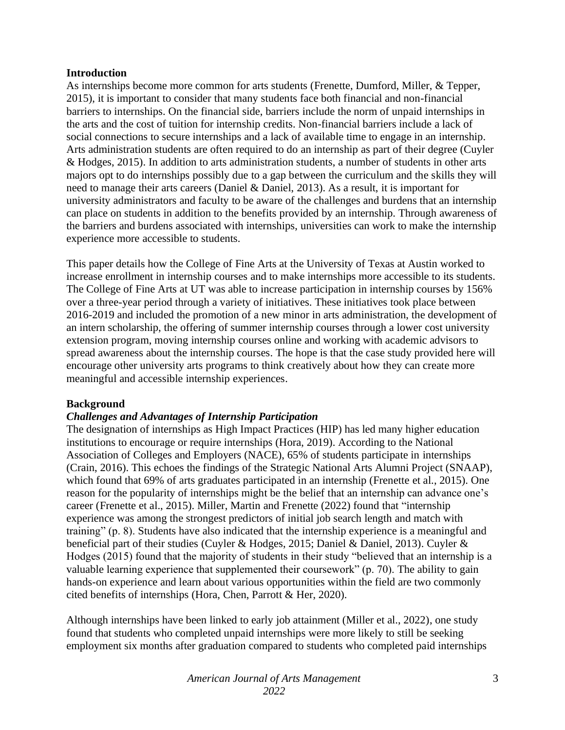#### **Introduction**

As internships become more common for arts students (Frenette, Dumford, Miller, & Tepper, 2015), it is important to consider that many students face both financial and non-financial barriers to internships. On the financial side, barriers include the norm of unpaid internships in the arts and the cost of tuition for internship credits. Non-financial barriers include a lack of social connections to secure internships and a lack of available time to engage in an internship. Arts administration students are often required to do an internship as part of their degree (Cuyler & Hodges, 2015). In addition to arts administration students, a number of students in other arts majors opt to do internships possibly due to a gap between the curriculum and the skills they will need to manage their arts careers (Daniel & Daniel, 2013). As a result, it is important for university administrators and faculty to be aware of the challenges and burdens that an internship can place on students in addition to the benefits provided by an internship. Through awareness of the barriers and burdens associated with internships, universities can work to make the internship experience more accessible to students.

This paper details how the College of Fine Arts at the University of Texas at Austin worked to increase enrollment in internship courses and to make internships more accessible to its students. The College of Fine Arts at UT was able to increase participation in internship courses by 156% over a three-year period through a variety of initiatives. These initiatives took place between 2016-2019 and included the promotion of a new minor in arts administration, the development of an intern scholarship, the offering of summer internship courses through a lower cost university extension program, moving internship courses online and working with academic advisors to spread awareness about the internship courses. The hope is that the case study provided here will encourage other university arts programs to think creatively about how they can create more meaningful and accessible internship experiences.

## **Background**

## *Challenges and Advantages of Internship Participation*

The designation of internships as High Impact Practices (HIP) has led many higher education institutions to encourage or require internships (Hora, 2019). According to the National Association of Colleges and Employers (NACE), 65% of students participate in internships (Crain, 2016). This echoes the findings of the Strategic National Arts Alumni Project (SNAAP), which found that 69% of arts graduates participated in an internship (Frenette et al., 2015). One reason for the popularity of internships might be the belief that an internship can advance one's career (Frenette et al., 2015). Miller, Martin and Frenette (2022) found that "internship experience was among the strongest predictors of initial job search length and match with training" (p. 8). Students have also indicated that the internship experience is a meaningful and beneficial part of their studies (Cuyler & Hodges, 2015; Daniel & Daniel, 2013). Cuyler & Hodges (2015) found that the majority of students in their study "believed that an internship is a valuable learning experience that supplemented their coursework" (p. 70). The ability to gain hands-on experience and learn about various opportunities within the field are two commonly cited benefits of internships (Hora, Chen, Parrott & Her, 2020).

Although internships have been linked to early job attainment (Miller et al., 2022), one study found that students who completed unpaid internships were more likely to still be seeking employment six months after graduation compared to students who completed paid internships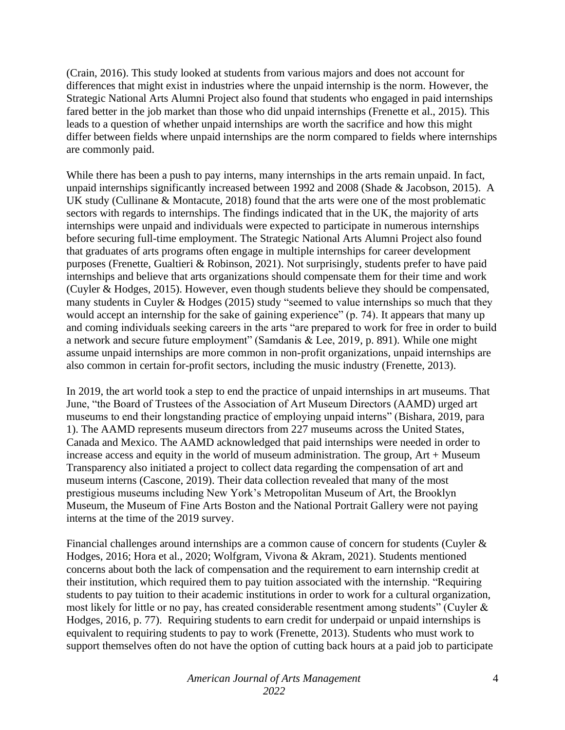(Crain, 2016). This study looked at students from various majors and does not account for differences that might exist in industries where the unpaid internship is the norm. However, the Strategic National Arts Alumni Project also found that students who engaged in paid internships fared better in the job market than those who did unpaid internships (Frenette et al., 2015). This leads to a question of whether unpaid internships are worth the sacrifice and how this might differ between fields where unpaid internships are the norm compared to fields where internships are commonly paid.

While there has been a push to pay interns, many internships in the arts remain unpaid. In fact, unpaid internships significantly increased between 1992 and 2008 (Shade & Jacobson, 2015). A UK study (Cullinane & Montacute, 2018) found that the arts were one of the most problematic sectors with regards to internships. The findings indicated that in the UK, the majority of arts internships were unpaid and individuals were expected to participate in numerous internships before securing full-time employment. The Strategic National Arts Alumni Project also found that graduates of arts programs often engage in multiple internships for career development purposes (Frenette, Gualtieri & Robinson, 2021). Not surprisingly, students prefer to have paid internships and believe that arts organizations should compensate them for their time and work (Cuyler & Hodges, 2015). However, even though students believe they should be compensated, many students in Cuyler & Hodges (2015) study "seemed to value internships so much that they would accept an internship for the sake of gaining experience" (p. 74). It appears that many up and coming individuals seeking careers in the arts "are prepared to work for free in order to build a network and secure future employment" (Samdanis & Lee, 2019, p. 891). While one might assume unpaid internships are more common in non-profit organizations, unpaid internships are also common in certain for-profit sectors, including the music industry (Frenette, 2013).

In 2019, the art world took a step to end the practice of unpaid internships in art museums. That June, "the Board of Trustees of the Association of Art Museum Directors (AAMD) urged art museums to end their longstanding practice of employing unpaid interns" (Bishara, 2019, para 1). The AAMD represents museum directors from 227 museums across the United States, Canada and Mexico. The AAMD acknowledged that paid internships were needed in order to increase access and equity in the world of museum administration. The group, Art + Museum Transparency also initiated a project to collect data regarding the compensation of art and museum interns (Cascone, 2019). Their data collection revealed that many of the most prestigious museums including New York's Metropolitan Museum of Art, the Brooklyn Museum, the Museum of Fine Arts Boston and the National Portrait Gallery were not paying interns at the time of the 2019 survey.

Financial challenges around internships are a common cause of concern for students (Cuyler & Hodges, 2016; Hora et al., 2020; Wolfgram, Vivona & Akram, 2021). Students mentioned concerns about both the lack of compensation and the requirement to earn internship credit at their institution, which required them to pay tuition associated with the internship. "Requiring students to pay tuition to their academic institutions in order to work for a cultural organization, most likely for little or no pay, has created considerable resentment among students" (Cuyler & Hodges, 2016, p. 77). Requiring students to earn credit for underpaid or unpaid internships is equivalent to requiring students to pay to work (Frenette, 2013). Students who must work to support themselves often do not have the option of cutting back hours at a paid job to participate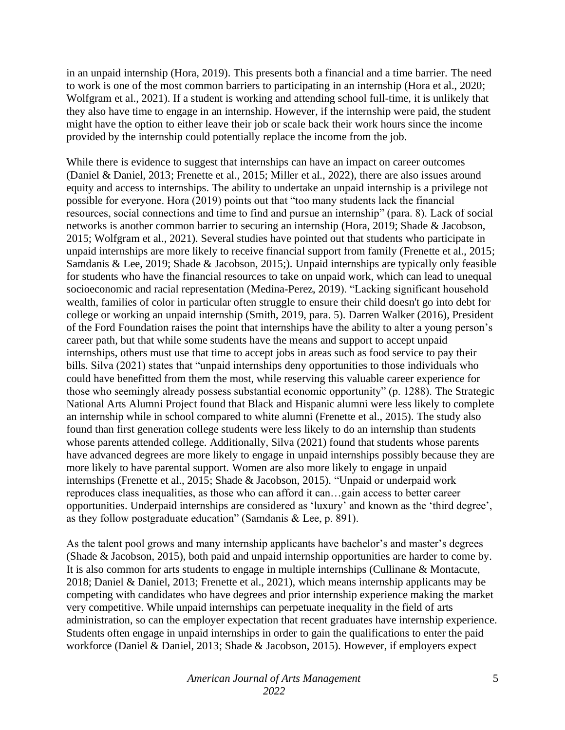in an unpaid internship (Hora, 2019). This presents both a financial and a time barrier. The need to work is one of the most common barriers to participating in an internship (Hora et al., 2020; Wolfgram et al., 2021). If a student is working and attending school full-time, it is unlikely that they also have time to engage in an internship. However, if the internship were paid, the student might have the option to either leave their job or scale back their work hours since the income provided by the internship could potentially replace the income from the job.

While there is evidence to suggest that internships can have an impact on career outcomes (Daniel & Daniel, 2013; Frenette et al., 2015; Miller et al., 2022), there are also issues around equity and access to internships. The ability to undertake an unpaid internship is a privilege not possible for everyone. Hora (2019) points out that "too many students lack the financial resources, social connections and time to find and pursue an internship" (para. 8). Lack of social networks is another common barrier to securing an internship (Hora, 2019; Shade & Jacobson, 2015; Wolfgram et al., 2021). Several studies have pointed out that students who participate in unpaid internships are more likely to receive financial support from family (Frenette et al., 2015; Samdanis & Lee, 2019; Shade & Jacobson, 2015;). Unpaid internships are typically only feasible for students who have the financial resources to take on unpaid work, which can lead to unequal socioeconomic and racial representation (Medina-Perez, 2019). "Lacking significant household wealth, families of color in particular often struggle to ensure their child doesn't go into debt for college or working an unpaid internship (Smith, 2019, para. 5). Darren Walker (2016), President of the Ford Foundation raises the point that internships have the ability to alter a young person's career path, but that while some students have the means and support to accept unpaid internships, others must use that time to accept jobs in areas such as food service to pay their bills. Silva (2021) states that "unpaid internships deny opportunities to those individuals who could have benefitted from them the most, while reserving this valuable career experience for those who seemingly already possess substantial economic opportunity" (p. 1288). The Strategic National Arts Alumni Project found that Black and Hispanic alumni were less likely to complete an internship while in school compared to white alumni (Frenette et al., 2015). The study also found than first generation college students were less likely to do an internship than students whose parents attended college. Additionally, Silva (2021) found that students whose parents have advanced degrees are more likely to engage in unpaid internships possibly because they are more likely to have parental support. Women are also more likely to engage in unpaid internships (Frenette et al., 2015; Shade & Jacobson, 2015). "Unpaid or underpaid work reproduces class inequalities, as those who can afford it can…gain access to better career opportunities. Underpaid internships are considered as 'luxury' and known as the 'third degree', as they follow postgraduate education" (Samdanis & Lee, p. 891).

As the talent pool grows and many internship applicants have bachelor's and master's degrees (Shade & Jacobson, 2015), both paid and unpaid internship opportunities are harder to come by. It is also common for arts students to engage in multiple internships (Cullinane & Montacute, 2018; Daniel & Daniel, 2013; Frenette et al., 2021), which means internship applicants may be competing with candidates who have degrees and prior internship experience making the market very competitive. While unpaid internships can perpetuate inequality in the field of arts administration, so can the employer expectation that recent graduates have internship experience. Students often engage in unpaid internships in order to gain the qualifications to enter the paid workforce (Daniel & Daniel, 2013; Shade & Jacobson, 2015). However, if employers expect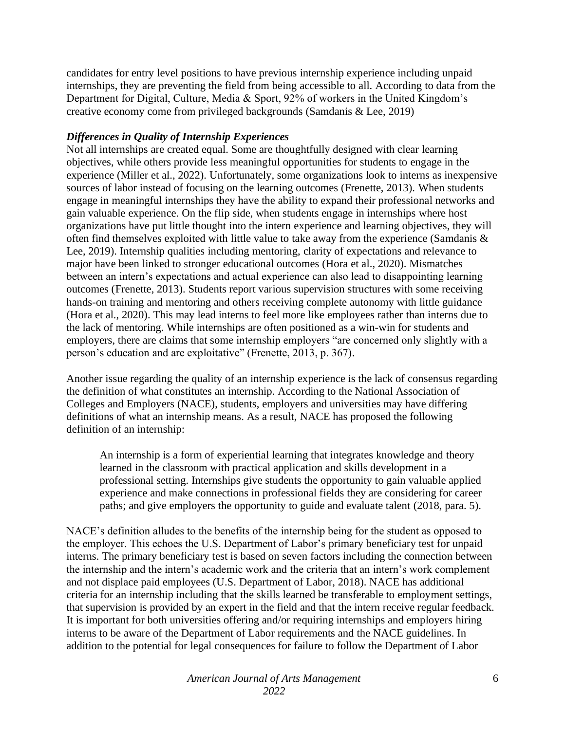candidates for entry level positions to have previous internship experience including unpaid internships, they are preventing the field from being accessible to all. According to data from the Department for Digital, Culture, Media & Sport, 92% of workers in the United Kingdom's creative economy come from privileged backgrounds (Samdanis & Lee, 2019)

# *Differences in Quality of Internship Experiences*

Not all internships are created equal. Some are thoughtfully designed with clear learning objectives, while others provide less meaningful opportunities for students to engage in the experience (Miller et al., 2022). Unfortunately, some organizations look to interns as inexpensive sources of labor instead of focusing on the learning outcomes (Frenette, 2013). When students engage in meaningful internships they have the ability to expand their professional networks and gain valuable experience. On the flip side, when students engage in internships where host organizations have put little thought into the intern experience and learning objectives, they will often find themselves exploited with little value to take away from the experience (Samdanis & Lee, 2019). Internship qualities including mentoring, clarity of expectations and relevance to major have been linked to stronger educational outcomes (Hora et al., 2020). Mismatches between an intern's expectations and actual experience can also lead to disappointing learning outcomes (Frenette, 2013). Students report various supervision structures with some receiving hands-on training and mentoring and others receiving complete autonomy with little guidance (Hora et al., 2020). This may lead interns to feel more like employees rather than interns due to the lack of mentoring. While internships are often positioned as a win-win for students and employers, there are claims that some internship employers "are concerned only slightly with a person's education and are exploitative" (Frenette, 2013, p. 367).

Another issue regarding the quality of an internship experience is the lack of consensus regarding the definition of what constitutes an internship. According to the National Association of Colleges and Employers (NACE), students, employers and universities may have differing definitions of what an internship means. As a result, NACE has proposed the following definition of an internship:

An internship is a form of experiential learning that integrates knowledge and theory learned in the classroom with practical application and skills development in a professional setting. Internships give students the opportunity to gain valuable applied experience and make connections in professional fields they are considering for career paths; and give employers the opportunity to guide and evaluate talent (2018, para. 5).

NACE's definition alludes to the benefits of the internship being for the student as opposed to the employer. This echoes the U.S. Department of Labor's primary beneficiary test for unpaid interns. The primary beneficiary test is based on seven factors including the connection between the internship and the intern's academic work and the criteria that an intern's work complement and not displace paid employees (U.S. Department of Labor, 2018). NACE has additional criteria for an internship including that the skills learned be transferable to employment settings, that supervision is provided by an expert in the field and that the intern receive regular feedback. It is important for both universities offering and/or requiring internships and employers hiring interns to be aware of the Department of Labor requirements and the NACE guidelines. In addition to the potential for legal consequences for failure to follow the Department of Labor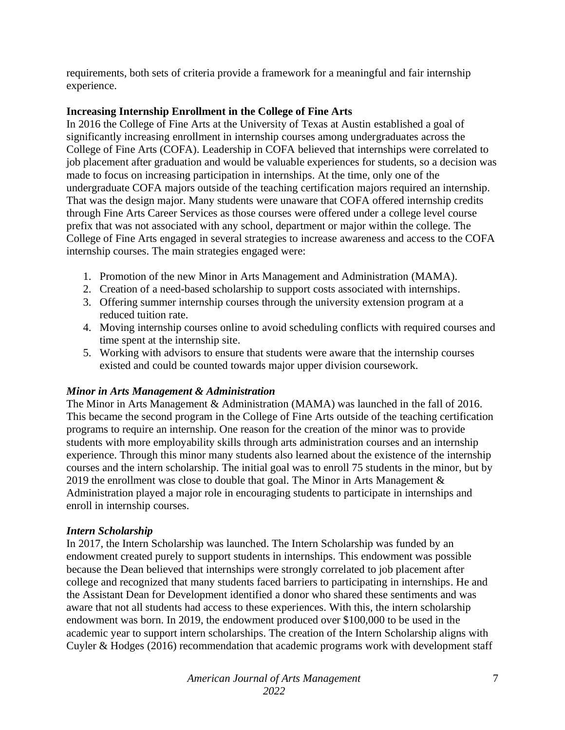requirements, both sets of criteria provide a framework for a meaningful and fair internship experience.

# **Increasing Internship Enrollment in the College of Fine Arts**

In 2016 the College of Fine Arts at the University of Texas at Austin established a goal of significantly increasing enrollment in internship courses among undergraduates across the College of Fine Arts (COFA). Leadership in COFA believed that internships were correlated to job placement after graduation and would be valuable experiences for students, so a decision was made to focus on increasing participation in internships. At the time, only one of the undergraduate COFA majors outside of the teaching certification majors required an internship. That was the design major. Many students were unaware that COFA offered internship credits through Fine Arts Career Services as those courses were offered under a college level course prefix that was not associated with any school, department or major within the college. The College of Fine Arts engaged in several strategies to increase awareness and access to the COFA internship courses. The main strategies engaged were:

- 1. Promotion of the new Minor in Arts Management and Administration (MAMA).
- 2. Creation of a need-based scholarship to support costs associated with internships.
- 3. Offering summer internship courses through the university extension program at a reduced tuition rate.
- 4. Moving internship courses online to avoid scheduling conflicts with required courses and time spent at the internship site.
- 5. Working with advisors to ensure that students were aware that the internship courses existed and could be counted towards major upper division coursework.

## *Minor in Arts Management & Administration*

The Minor in Arts Management & Administration (MAMA) was launched in the fall of 2016. This became the second program in the College of Fine Arts outside of the teaching certification programs to require an internship. One reason for the creation of the minor was to provide students with more employability skills through arts administration courses and an internship experience. Through this minor many students also learned about the existence of the internship courses and the intern scholarship. The initial goal was to enroll 75 students in the minor, but by 2019 the enrollment was close to double that goal. The Minor in Arts Management  $\&$ Administration played a major role in encouraging students to participate in internships and enroll in internship courses.

## *Intern Scholarship*

In 2017, the Intern Scholarship was launched. The Intern Scholarship was funded by an endowment created purely to support students in internships. This endowment was possible because the Dean believed that internships were strongly correlated to job placement after college and recognized that many students faced barriers to participating in internships. He and the Assistant Dean for Development identified a donor who shared these sentiments and was aware that not all students had access to these experiences. With this, the intern scholarship endowment was born. In 2019, the endowment produced over \$100,000 to be used in the academic year to support intern scholarships. The creation of the Intern Scholarship aligns with Cuyler & Hodges (2016) recommendation that academic programs work with development staff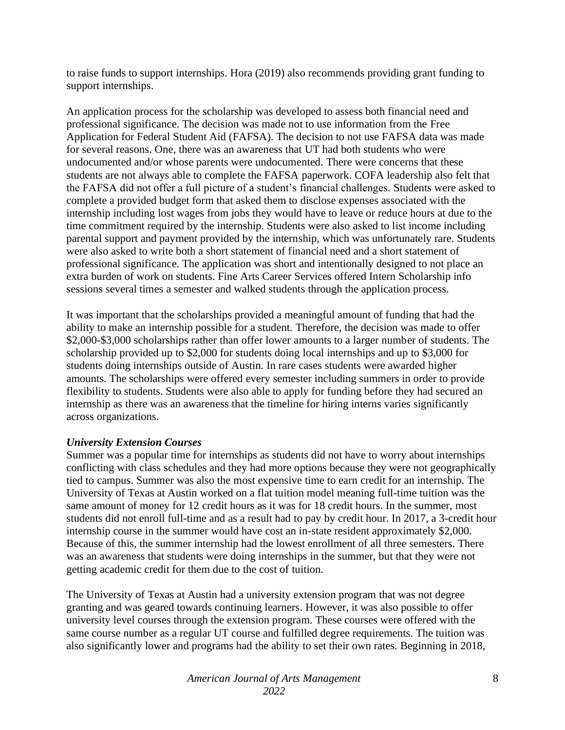to raise funds to support internships. Hora (2019) also recommends providing grant funding to support internships.

An application process for the scholarship was developed to assess both financial need and professional significance. The decision was made not to use information from the Free Application for Federal Student Aid (FAFSA). The decision to not use FAFSA data was made for several reasons. One, there was an awareness that UT had both students who were undocumented and/or whose parents were undocumented. There were concerns that these students are not always able to complete the FAFSA paperwork. COFA leadership also felt that the FAFSA did not offer a full picture of a student's financial challenges. Students were asked to complete a provided budget form that asked them to disclose expenses associated with the internship including lost wages from jobs they would have to leave or reduce hours at due to the time commitment required by the internship. Students were also asked to list income including parental support and payment provided by the internship, which was unfortunately rare. Students were also asked to write both a short statement of financial need and a short statement of professional significance. The application was short and intentionally designed to not place an extra burden of work on students. Fine Arts Career Services offered Intern Scholarship info sessions several times a semester and walked students through the application process.

It was important that the scholarships provided a meaningful amount of funding that had the ability to make an internship possible for a student. Therefore, the decision was made to offer \$2,000-\$3,000 scholarships rather than offer lower amounts to a larger number of students. The scholarship provided up to \$2,000 for students doing local internships and up to \$3,000 for students doing internships outside of Austin*.* In rare cases students were awarded higher amounts. The scholarships were offered every semester including summers in order to provide flexibility to students. Students were also able to apply for funding before they had secured an internship as there was an awareness that the timeline for hiring interns varies significantly across organizations.

## *University Extension Courses*

Summer was a popular time for internships as students did not have to worry about internships conflicting with class schedules and they had more options because they were not geographically tied to campus. Summer was also the most expensive time to earn credit for an internship. The University of Texas at Austin worked on a flat tuition model meaning full-time tuition was the same amount of money for 12 credit hours as it was for 18 credit hours. In the summer, most students did not enroll full-time and as a result had to pay by credit hour. In 2017, a 3-credit hour internship course in the summer would have cost an in-state resident approximately \$2,000. Because of this, the summer internship had the lowest enrollment of all three semesters. There was an awareness that students were doing internships in the summer, but that they were not getting academic credit for them due to the cost of tuition.

The University of Texas at Austin had a university extension program that was not degree granting and was geared towards continuing learners. However, it was also possible to offer university level courses through the extension program. These courses were offered with the same course number as a regular UT course and fulfilled degree requirements. The tuition was also significantly lower and programs had the ability to set their own rates. Beginning in 2018,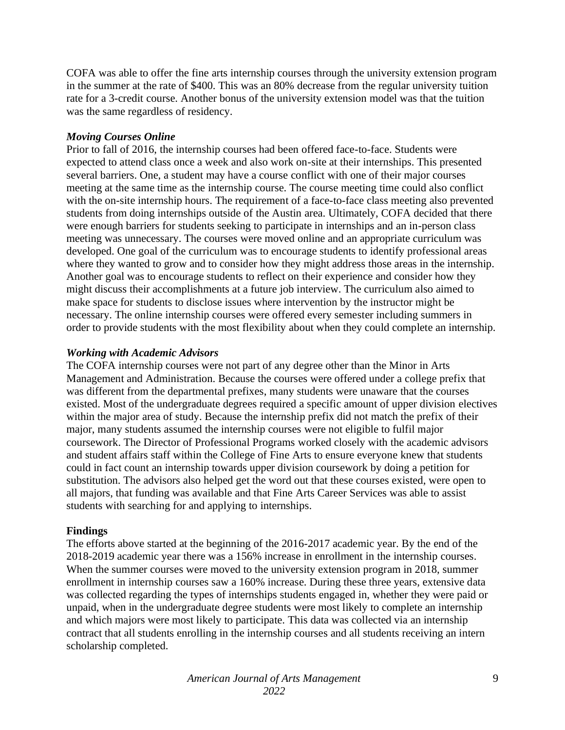COFA was able to offer the fine arts internship courses through the university extension program in the summer at the rate of \$400. This was an 80% decrease from the regular university tuition rate for a 3-credit course. Another bonus of the university extension model was that the tuition was the same regardless of residency.

#### *Moving Courses Online*

Prior to fall of 2016, the internship courses had been offered face-to-face. Students were expected to attend class once a week and also work on-site at their internships. This presented several barriers. One, a student may have a course conflict with one of their major courses meeting at the same time as the internship course. The course meeting time could also conflict with the on-site internship hours. The requirement of a face-to-face class meeting also prevented students from doing internships outside of the Austin area. Ultimately, COFA decided that there were enough barriers for students seeking to participate in internships and an in-person class meeting was unnecessary. The courses were moved online and an appropriate curriculum was developed. One goal of the curriculum was to encourage students to identify professional areas where they wanted to grow and to consider how they might address those areas in the internship. Another goal was to encourage students to reflect on their experience and consider how they might discuss their accomplishments at a future job interview. The curriculum also aimed to make space for students to disclose issues where intervention by the instructor might be necessary. The online internship courses were offered every semester including summers in order to provide students with the most flexibility about when they could complete an internship.

#### *Working with Academic Advisors*

The COFA internship courses were not part of any degree other than the Minor in Arts Management and Administration. Because the courses were offered under a college prefix that was different from the departmental prefixes, many students were unaware that the courses existed. Most of the undergraduate degrees required a specific amount of upper division electives within the major area of study. Because the internship prefix did not match the prefix of their major, many students assumed the internship courses were not eligible to fulfil major coursework. The Director of Professional Programs worked closely with the academic advisors and student affairs staff within the College of Fine Arts to ensure everyone knew that students could in fact count an internship towards upper division coursework by doing a petition for substitution. The advisors also helped get the word out that these courses existed, were open to all majors, that funding was available and that Fine Arts Career Services was able to assist students with searching for and applying to internships.

## **Findings**

The efforts above started at the beginning of the 2016-2017 academic year. By the end of the 2018-2019 academic year there was a 156% increase in enrollment in the internship courses. When the summer courses were moved to the university extension program in 2018, summer enrollment in internship courses saw a 160% increase. During these three years, extensive data was collected regarding the types of internships students engaged in, whether they were paid or unpaid, when in the undergraduate degree students were most likely to complete an internship and which majors were most likely to participate. This data was collected via an internship contract that all students enrolling in the internship courses and all students receiving an intern scholarship completed.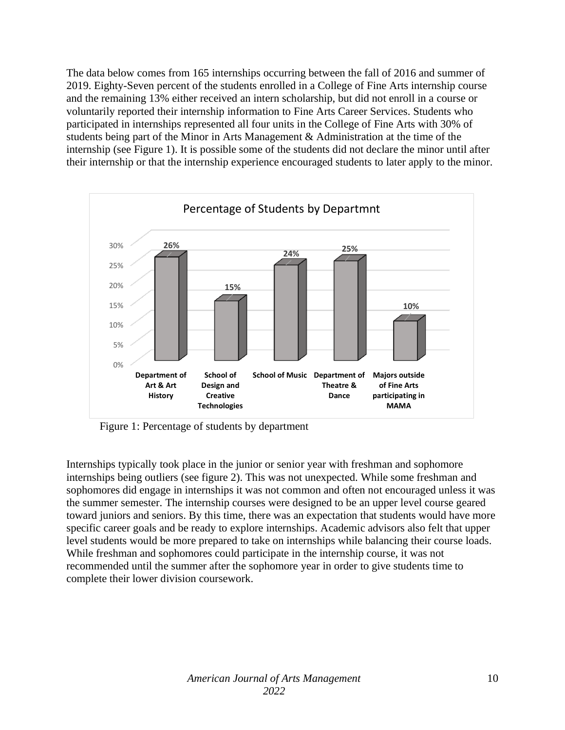The data below comes from 165 internships occurring between the fall of 2016 and summer of 2019. Eighty-Seven percent of the students enrolled in a College of Fine Arts internship course and the remaining 13% either received an intern scholarship, but did not enroll in a course or voluntarily reported their internship information to Fine Arts Career Services. Students who participated in internships represented all four units in the College of Fine Arts with 30% of students being part of the Minor in Arts Management & Administration at the time of the internship (see Figure 1). It is possible some of the students did not declare the minor until after their internship or that the internship experience encouraged students to later apply to the minor.



Figure 1: Percentage of students by department

Internships typically took place in the junior or senior year with freshman and sophomore internships being outliers (see figure 2). This was not unexpected. While some freshman and sophomores did engage in internships it was not common and often not encouraged unless it was the summer semester. The internship courses were designed to be an upper level course geared toward juniors and seniors. By this time, there was an expectation that students would have more specific career goals and be ready to explore internships. Academic advisors also felt that upper level students would be more prepared to take on internships while balancing their course loads. While freshman and sophomores could participate in the internship course, it was not recommended until the summer after the sophomore year in order to give students time to complete their lower division coursework.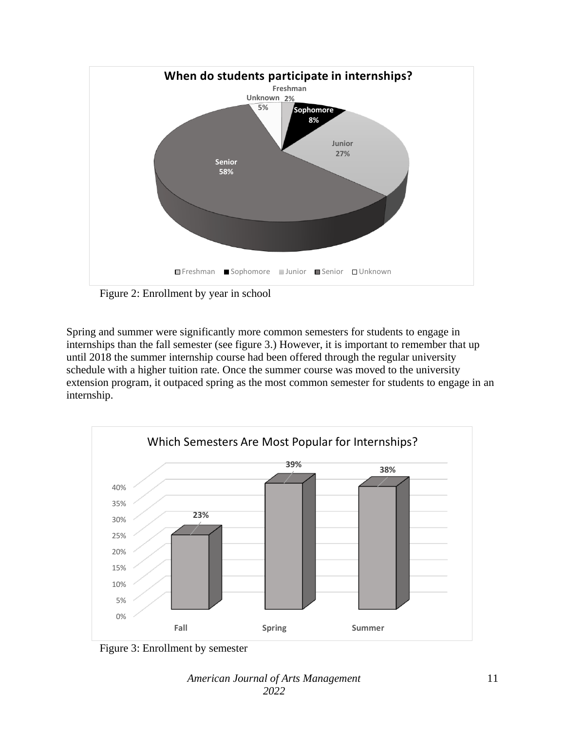

Figure 2: Enrollment by year in school

Spring and summer were significantly more common semesters for students to engage in internships than the fall semester (see figure 3.) However, it is important to remember that up until 2018 the summer internship course had been offered through the regular university schedule with a higher tuition rate. Once the summer course was moved to the university extension program, it outpaced spring as the most common semester for students to engage in an internship.



Figure 3: Enrollment by semester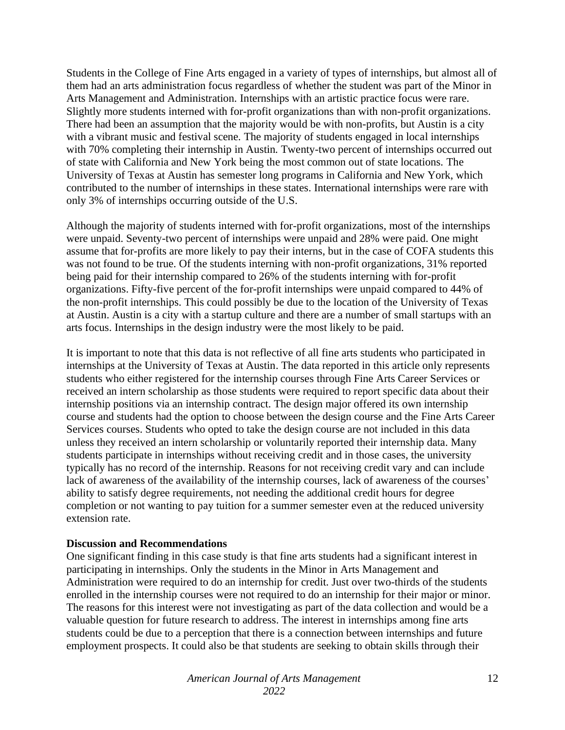Students in the College of Fine Arts engaged in a variety of types of internships, but almost all of them had an arts administration focus regardless of whether the student was part of the Minor in Arts Management and Administration. Internships with an artistic practice focus were rare. Slightly more students interned with for-profit organizations than with non-profit organizations. There had been an assumption that the majority would be with non-profits, but Austin is a city with a vibrant music and festival scene. The majority of students engaged in local internships with 70% completing their internship in Austin*.* Twenty-two percent of internships occurred out of state with California and New York being the most common out of state locations. The University of Texas at Austin has semester long programs in California and New York, which contributed to the number of internships in these states. International internships were rare with only 3% of internships occurring outside of the U.S.

Although the majority of students interned with for-profit organizations, most of the internships were unpaid. Seventy-two percent of internships were unpaid and 28% were paid. One might assume that for-profits are more likely to pay their interns, but in the case of COFA students this was not found to be true. Of the students interning with non-profit organizations, 31% reported being paid for their internship compared to 26% of the students interning with for-profit organizations. Fifty-five percent of the for-profit internships were unpaid compared to 44% of the non-profit internships. This could possibly be due to the location of the University of Texas at Austin. Austin is a city with a startup culture and there are a number of small startups with an arts focus. Internships in the design industry were the most likely to be paid.

It is important to note that this data is not reflective of all fine arts students who participated in internships at the University of Texas at Austin. The data reported in this article only represents students who either registered for the internship courses through Fine Arts Career Services or received an intern scholarship as those students were required to report specific data about their internship positions via an internship contract. The design major offered its own internship course and students had the option to choose between the design course and the Fine Arts Career Services courses. Students who opted to take the design course are not included in this data unless they received an intern scholarship or voluntarily reported their internship data. Many students participate in internships without receiving credit and in those cases, the university typically has no record of the internship. Reasons for not receiving credit vary and can include lack of awareness of the availability of the internship courses, lack of awareness of the courses' ability to satisfy degree requirements, not needing the additional credit hours for degree completion or not wanting to pay tuition for a summer semester even at the reduced university extension rate.

#### **Discussion and Recommendations**

One significant finding in this case study is that fine arts students had a significant interest in participating in internships. Only the students in the Minor in Arts Management and Administration were required to do an internship for credit. Just over two-thirds of the students enrolled in the internship courses were not required to do an internship for their major or minor. The reasons for this interest were not investigating as part of the data collection and would be a valuable question for future research to address. The interest in internships among fine arts students could be due to a perception that there is a connection between internships and future employment prospects. It could also be that students are seeking to obtain skills through their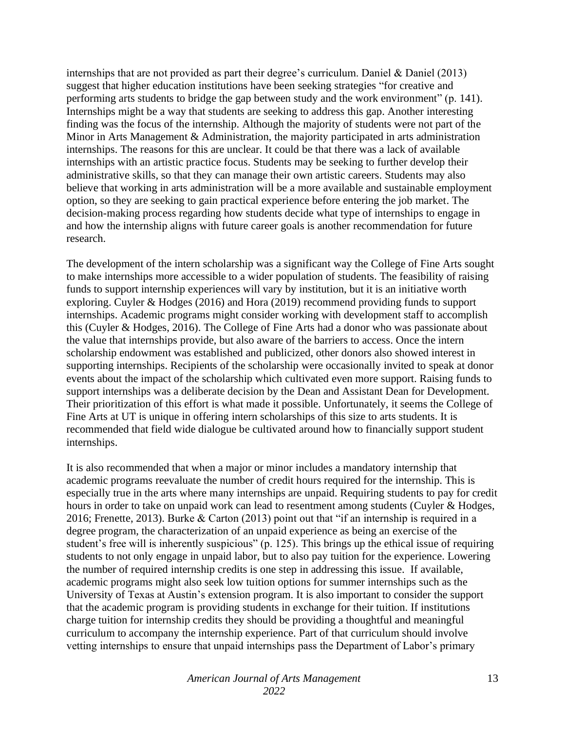internships that are not provided as part their degree's curriculum. Daniel & Daniel (2013) suggest that higher education institutions have been seeking strategies "for creative and performing arts students to bridge the gap between study and the work environment" (p. 141). Internships might be a way that students are seeking to address this gap. Another interesting finding was the focus of the internship. Although the majority of students were not part of the Minor in Arts Management & Administration, the majority participated in arts administration internships. The reasons for this are unclear. It could be that there was a lack of available internships with an artistic practice focus. Students may be seeking to further develop their administrative skills, so that they can manage their own artistic careers. Students may also believe that working in arts administration will be a more available and sustainable employment option, so they are seeking to gain practical experience before entering the job market. The decision-making process regarding how students decide what type of internships to engage in and how the internship aligns with future career goals is another recommendation for future research.

The development of the intern scholarship was a significant way the College of Fine Arts sought to make internships more accessible to a wider population of students. The feasibility of raising funds to support internship experiences will vary by institution, but it is an initiative worth exploring. Cuyler & Hodges (2016) and Hora (2019) recommend providing funds to support internships. Academic programs might consider working with development staff to accomplish this (Cuyler & Hodges, 2016). The College of Fine Arts had a donor who was passionate about the value that internships provide, but also aware of the barriers to access. Once the intern scholarship endowment was established and publicized, other donors also showed interest in supporting internships. Recipients of the scholarship were occasionally invited to speak at donor events about the impact of the scholarship which cultivated even more support. Raising funds to support internships was a deliberate decision by the Dean and Assistant Dean for Development. Their prioritization of this effort is what made it possible. Unfortunately, it seems the College of Fine Arts at UT is unique in offering intern scholarships of this size to arts students. It is recommended that field wide dialogue be cultivated around how to financially support student internships.

It is also recommended that when a major or minor includes a mandatory internship that academic programs reevaluate the number of credit hours required for the internship. This is especially true in the arts where many internships are unpaid. Requiring students to pay for credit hours in order to take on unpaid work can lead to resentment among students (Cuyler & Hodges, 2016; Frenette, 2013). Burke & Carton (2013) point out that "if an internship is required in a degree program, the characterization of an unpaid experience as being an exercise of the student's free will is inherently suspicious" (p. 125). This brings up the ethical issue of requiring students to not only engage in unpaid labor, but to also pay tuition for the experience. Lowering the number of required internship credits is one step in addressing this issue. If available, academic programs might also seek low tuition options for summer internships such as the University of Texas at Austin's extension program. It is also important to consider the support that the academic program is providing students in exchange for their tuition. If institutions charge tuition for internship credits they should be providing a thoughtful and meaningful curriculum to accompany the internship experience. Part of that curriculum should involve vetting internships to ensure that unpaid internships pass the Department of Labor's primary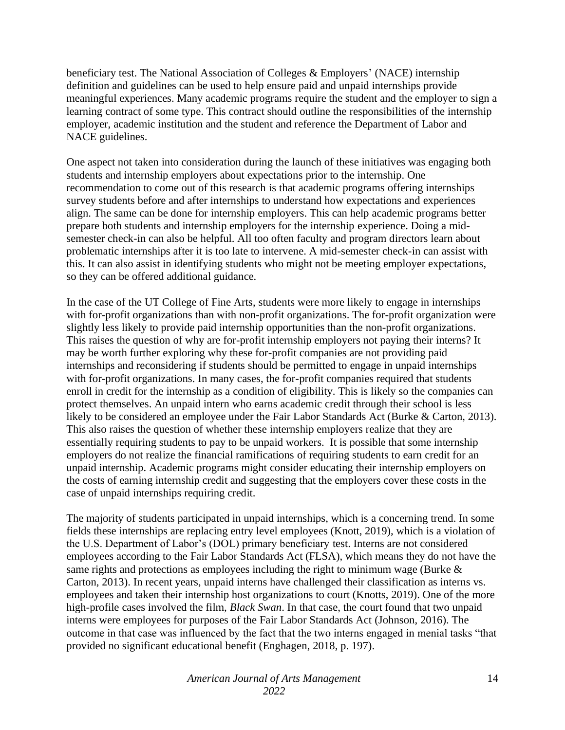beneficiary test. The National Association of Colleges & Employers' (NACE) internship definition and guidelines can be used to help ensure paid and unpaid internships provide meaningful experiences. Many academic programs require the student and the employer to sign a learning contract of some type. This contract should outline the responsibilities of the internship employer, academic institution and the student and reference the Department of Labor and NACE guidelines.

One aspect not taken into consideration during the launch of these initiatives was engaging both students and internship employers about expectations prior to the internship. One recommendation to come out of this research is that academic programs offering internships survey students before and after internships to understand how expectations and experiences align. The same can be done for internship employers. This can help academic programs better prepare both students and internship employers for the internship experience. Doing a midsemester check-in can also be helpful. All too often faculty and program directors learn about problematic internships after it is too late to intervene. A mid-semester check-in can assist with this. It can also assist in identifying students who might not be meeting employer expectations, so they can be offered additional guidance.

In the case of the UT College of Fine Arts, students were more likely to engage in internships with for-profit organizations than with non-profit organizations. The for-profit organization were slightly less likely to provide paid internship opportunities than the non-profit organizations. This raises the question of why are for-profit internship employers not paying their interns? It may be worth further exploring why these for-profit companies are not providing paid internships and reconsidering if students should be permitted to engage in unpaid internships with for-profit organizations. In many cases, the for-profit companies required that students enroll in credit for the internship as a condition of eligibility. This is likely so the companies can protect themselves. An unpaid intern who earns academic credit through their school is less likely to be considered an employee under the Fair Labor Standards Act (Burke & Carton, 2013). This also raises the question of whether these internship employers realize that they are essentially requiring students to pay to be unpaid workers. It is possible that some internship employers do not realize the financial ramifications of requiring students to earn credit for an unpaid internship. Academic programs might consider educating their internship employers on the costs of earning internship credit and suggesting that the employers cover these costs in the case of unpaid internships requiring credit.

The majority of students participated in unpaid internships, which is a concerning trend. In some fields these internships are replacing entry level employees (Knott, 2019), which is a violation of the U.S. Department of Labor's (DOL) primary beneficiary test. Interns are not considered employees according to the Fair Labor Standards Act (FLSA), which means they do not have the same rights and protections as employees including the right to minimum wage (Burke  $\&$ Carton, 2013). In recent years, unpaid interns have challenged their classification as interns vs. employees and taken their internship host organizations to court (Knotts, 2019). One of the more high-profile cases involved the film, *Black Swan*. In that case, the court found that two unpaid interns were employees for purposes of the Fair Labor Standards Act (Johnson, 2016). The outcome in that case was influenced by the fact that the two interns engaged in menial tasks "that provided no significant educational benefit (Enghagen, 2018, p. 197).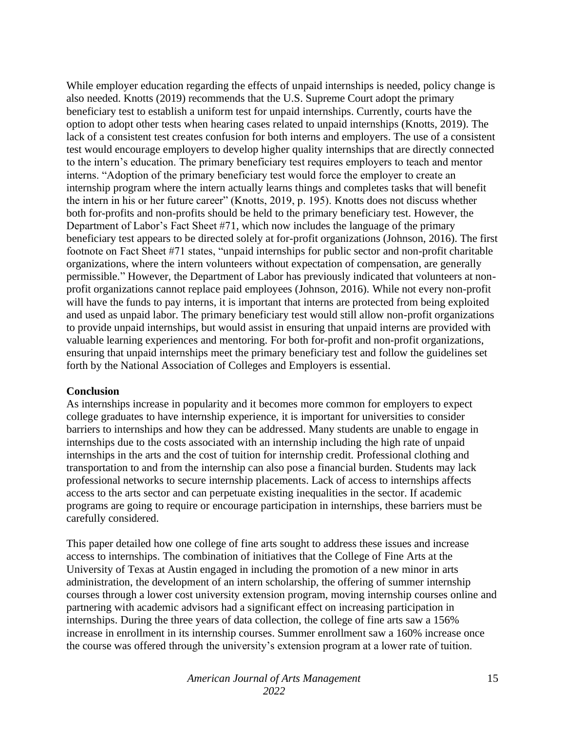While employer education regarding the effects of unpaid internships is needed, policy change is also needed. Knotts (2019) recommends that the U.S. Supreme Court adopt the primary beneficiary test to establish a uniform test for unpaid internships. Currently, courts have the option to adopt other tests when hearing cases related to unpaid internships (Knotts, 2019). The lack of a consistent test creates confusion for both interns and employers. The use of a consistent test would encourage employers to develop higher quality internships that are directly connected to the intern's education. The primary beneficiary test requires employers to teach and mentor interns. "Adoption of the primary beneficiary test would force the employer to create an internship program where the intern actually learns things and completes tasks that will benefit the intern in his or her future career" (Knotts, 2019, p. 195). Knotts does not discuss whether both for-profits and non-profits should be held to the primary beneficiary test. However, the Department of Labor's Fact Sheet #71, which now includes the language of the primary beneficiary test appears to be directed solely at for-profit organizations (Johnson, 2016). The first footnote on Fact Sheet #71 states, "unpaid internships for public sector and non-profit charitable organizations, where the intern volunteers without expectation of compensation, are generally permissible." However, the Department of Labor has previously indicated that volunteers at nonprofit organizations cannot replace paid employees (Johnson, 2016). While not every non-profit will have the funds to pay interns, it is important that interns are protected from being exploited and used as unpaid labor. The primary beneficiary test would still allow non-profit organizations to provide unpaid internships, but would assist in ensuring that unpaid interns are provided with valuable learning experiences and mentoring. For both for-profit and non-profit organizations, ensuring that unpaid internships meet the primary beneficiary test and follow the guidelines set forth by the National Association of Colleges and Employers is essential.

#### **Conclusion**

As internships increase in popularity and it becomes more common for employers to expect college graduates to have internship experience, it is important for universities to consider barriers to internships and how they can be addressed. Many students are unable to engage in internships due to the costs associated with an internship including the high rate of unpaid internships in the arts and the cost of tuition for internship credit. Professional clothing and transportation to and from the internship can also pose a financial burden. Students may lack professional networks to secure internship placements. Lack of access to internships affects access to the arts sector and can perpetuate existing inequalities in the sector. If academic programs are going to require or encourage participation in internships, these barriers must be carefully considered.

This paper detailed how one college of fine arts sought to address these issues and increase access to internships. The combination of initiatives that the College of Fine Arts at the University of Texas at Austin engaged in including the promotion of a new minor in arts administration, the development of an intern scholarship, the offering of summer internship courses through a lower cost university extension program, moving internship courses online and partnering with academic advisors had a significant effect on increasing participation in internships. During the three years of data collection, the college of fine arts saw a 156% increase in enrollment in its internship courses. Summer enrollment saw a 160% increase once the course was offered through the university's extension program at a lower rate of tuition.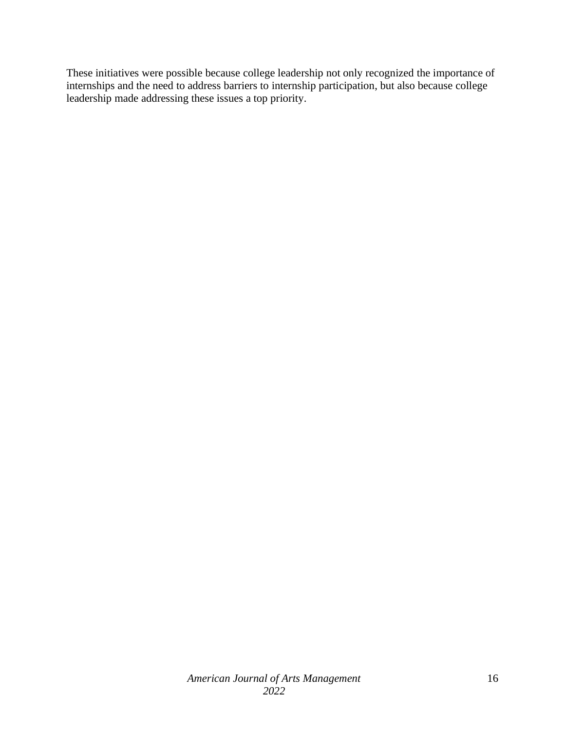These initiatives were possible because college leadership not only recognized the importance of internships and the need to address barriers to internship participation, but also because college leadership made addressing these issues a top priority.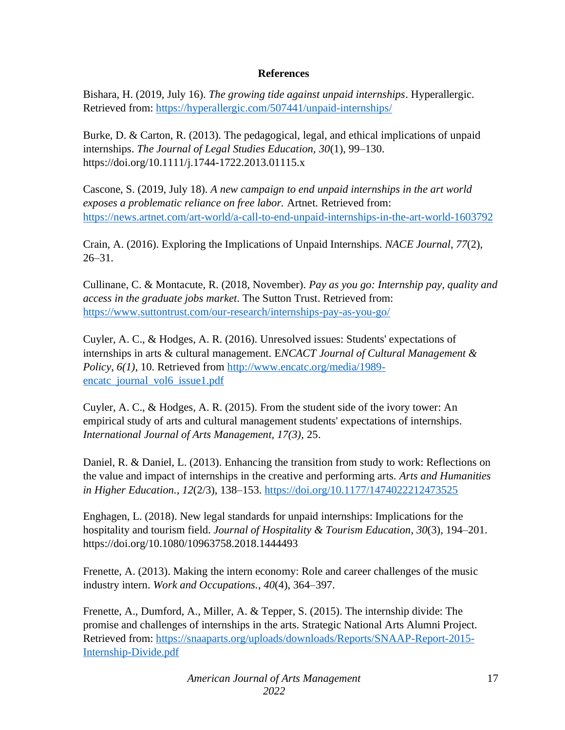# **References**

Bishara, H. (2019, July 16). *The growing tide against unpaid internships*. Hyperallergic. Retrieved from:<https://hyperallergic.com/507441/unpaid-internships/>

Burke, D. & Carton, R. (2013). The pedagogical, legal, and ethical implications of unpaid internships. *The Journal of Legal Studies Education, 30*(1), 99–130. https://doi.org/10.1111/j.1744-1722.2013.01115.x

Cascone, S. (2019, July 18). *A new campaign to end unpaid internships in the art world exposes a problematic reliance on free labor.* Artnet. Retrieved from: <https://news.artnet.com/art-world/a-call-to-end-unpaid-internships-in-the-art-world-1603792>

Crain, A. (2016). Exploring the Implications of Unpaid Internships. *NACE Journal*, *77*(2), 26–31.

Cullinane, C. & Montacute, R. (2018, November). *Pay as you go: Internship pay, quality and access in the graduate jobs market*. The Sutton Trust. Retrieved from: <https://www.suttontrust.com/our-research/internships-pay-as-you-go/>

Cuyler, A. C., & Hodges, A. R. (2016). Unresolved issues: Students' expectations of internships in arts & cultural management. E*NCACT Journal of Cultural Management & Policy, 6(1)*, 10. Retrieved from [http://www.encatc.org/media/1989](http://www.encatc.org/media/1989-encatc_journal_vol6_issue1.pdf) [encatc\\_journal\\_vol6\\_issue1.pdf](http://www.encatc.org/media/1989-encatc_journal_vol6_issue1.pdf)

Cuyler, A. C., & Hodges, A. R. (2015). From the student side of the ivory tower: An empirical study of arts and cultural management students' expectations of internships. *International Journal of Arts Management, 17(3),* 25.

Daniel, R. & Daniel, L. (2013). Enhancing the transition from study to work: Reflections on the value and impact of internships in the creative and performing arts. *Arts and Humanities in Higher Education.*, *12*(2/3), 138–153.<https://doi.org/10.1177/1474022212473525>

Enghagen, L. (2018). New legal standards for unpaid internships: Implications for the hospitality and tourism field. *Journal of Hospitality & Tourism Education*, *30*(3), 194–201. https://doi.org/10.1080/10963758.2018.1444493

Frenette, A. (2013). Making the intern economy: Role and career challenges of the music industry intern. *Work and Occupations.*, *40*(4), 364–397.

Frenette, A., Dumford, A., Miller, A. & Tepper, S. (2015). The internship divide: The promise and challenges of internships in the arts. Strategic National Arts Alumni Project. Retrieved from: [https://snaaparts.org/uploads/downloads/Reports/SNAAP-Report-2015-](https://snaaparts.org/uploads/downloads/Reports/SNAAP-Report-2015-Internship-Divide.pdf) [Internship-Divide.pdf](https://snaaparts.org/uploads/downloads/Reports/SNAAP-Report-2015-Internship-Divide.pdf)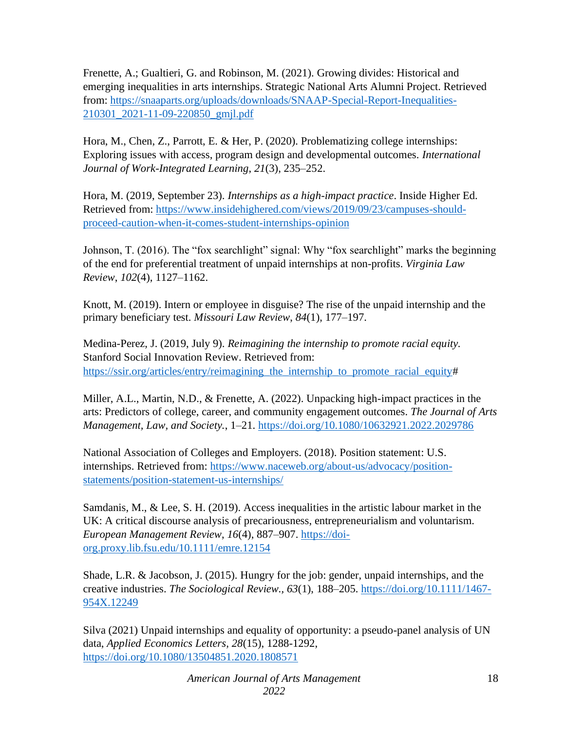Frenette, A.; Gualtieri, G. and Robinson, M. (2021). Growing divides: Historical and emerging inequalities in arts internships. Strategic National Arts Alumni Project. Retrieved from: [https://snaaparts.org/uploads/downloads/SNAAP-Special-Report-Inequalities-](https://snaaparts.org/uploads/downloads/SNAAP-Special-Report-Inequalities-210301_2021-11-09-220850_gmjl.pdf)[210301\\_2021-11-09-220850\\_gmjl.pdf](https://snaaparts.org/uploads/downloads/SNAAP-Special-Report-Inequalities-210301_2021-11-09-220850_gmjl.pdf)

Hora, M., Chen, Z., Parrott, E. & Her, P. (2020). Problematizing college internships: Exploring issues with access, program design and developmental outcomes. *International Journal of Work-Integrated Learning*, *21*(3), 235–252.

Hora, M. (2019, September 23). *Internships as a high-impact practice*. Inside Higher Ed. Retrieved from: [https://www.insidehighered.com/views/2019/09/23/campuses-should](https://www.insidehighered.com/views/2019/09/23/campuses-should-proceed-caution-when-it-comes-student-internships-opinion)[proceed-caution-when-it-comes-student-internships-opinion](https://www.insidehighered.com/views/2019/09/23/campuses-should-proceed-caution-when-it-comes-student-internships-opinion)

Johnson, T. (2016). The "fox searchlight" signal: Why "fox searchlight" marks the beginning of the end for preferential treatment of unpaid internships at non-profits. *Virginia Law Review*, *102*(4), 1127–1162.

Knott, M. (2019). Intern or employee in disguise? The rise of the unpaid internship and the primary beneficiary test. *Missouri Law Review*, *84*(1), 177–197.

Medina-Perez, J. (2019, July 9). *Reimagining the internship to promote racial equity.* Stanford Social Innovation Review. Retrieved from: https://ssir.org/articles/entry/reimagining the internship to promote racial equity#

Miller, A.L., Martin, N.D., & Frenette, A. (2022). Unpacking high-impact practices in the arts: Predictors of college, career, and community engagement outcomes. *The Journal of Arts Management, Law, and Society.*, 1–21.<https://doi.org/10.1080/10632921.2022.2029786>

National Association of Colleges and Employers. (2018). Position statement: U.S. internships. Retrieved from: [https://www.naceweb.org/about-us/advocacy/position](https://www.naceweb.org/about-us/advocacy/position-statements/position-statement-us-internships/)[statements/position-statement-us-internships/](https://www.naceweb.org/about-us/advocacy/position-statements/position-statement-us-internships/)

Samdanis, M., & Lee, S. H. (2019). Access inequalities in the artistic labour market in the UK: A critical discourse analysis of precariousness, entrepreneurialism and voluntarism. *European Management Review*, *16*(4), 887–907. [https://doi](https://doi-org.proxy.lib.fsu.edu/10.1111/emre.12154)[org.proxy.lib.fsu.edu/10.1111/emre.12154](https://doi-org.proxy.lib.fsu.edu/10.1111/emre.12154)

Shade, L.R. & Jacobson, J. (2015). Hungry for the job: gender, unpaid internships, and the creative industries. *The Sociological Review., 63*(1), 188–205. [https://doi.org/10.1111/1467-](https://doi.org/10.1111/1467-954X.12249) [954X.12249](https://doi.org/10.1111/1467-954X.12249)

Silva (2021) Unpaid internships and equality of opportunity: a pseudo-panel analysis of UN data, *Applied Economics Letters, 28*(15), 1288-1292, <https://doi.org/10.1080/13504851.2020.1808571>